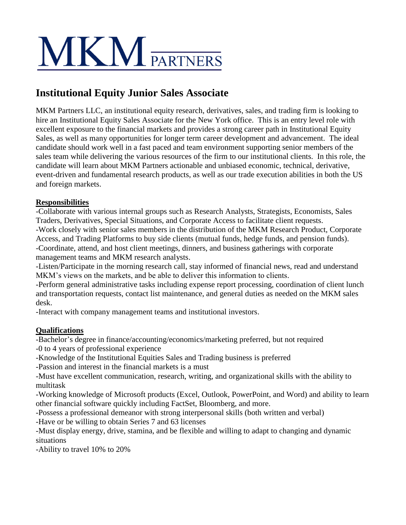## **MKM** PARTNERS

## **Institutional Equity Junior Sales Associate**

MKM Partners LLC, an institutional equity research, derivatives, sales, and trading firm is looking to hire an Institutional Equity Sales Associate for the New York office. This is an entry level role with excellent exposure to the financial markets and provides a strong career path in Institutional Equity Sales, as well as many opportunities for longer term career development and advancement. The ideal candidate should work well in a fast paced and team environment supporting senior members of the sales team while delivering the various resources of the firm to our institutional clients. In this role, the candidate will learn about MKM Partners actionable and unbiased economic, technical, derivative, event-driven and fundamental research products, as well as our trade execution abilities in both the US and foreign markets.

## **Responsibilities**

-Collaborate with various internal groups such as Research Analysts, Strategists, Economists, Sales Traders, Derivatives, Special Situations, and Corporate Access to facilitate client requests.

-Work closely with senior sales members in the distribution of the MKM Research Product, Corporate Access, and Trading Platforms to buy side clients (mutual funds, hedge funds, and pension funds). -Coordinate, attend, and host client meetings, dinners, and business gatherings with corporate management teams and MKM research analysts.

-Listen/Participate in the morning research call, stay informed of financial news, read and understand MKM's views on the markets, and be able to deliver this information to clients.

-Perform general administrative tasks including expense report processing, coordination of client lunch and transportation requests, contact list maintenance, and general duties as needed on the MKM sales desk.

-Interact with company management teams and institutional investors.

## **Qualifications**

-Bachelor's degree in finance/accounting/economics/marketing preferred, but not required -0 to 4 years of professional experience

-Knowledge of the Institutional Equities Sales and Trading business is preferred

-Passion and interest in the financial markets is a must

-Must have excellent communication, research, writing, and organizational skills with the ability to multitask

-Working knowledge of Microsoft products (Excel, Outlook, PowerPoint, and Word) and ability to learn other financial software quickly including FactSet, Bloomberg, and more.

-Possess a professional demeanor with strong interpersonal skills (both written and verbal)

-Have or be willing to obtain Series 7 and 63 licenses

-Must display energy, drive, stamina, and be flexible and willing to adapt to changing and dynamic situations

-Ability to travel 10% to 20%